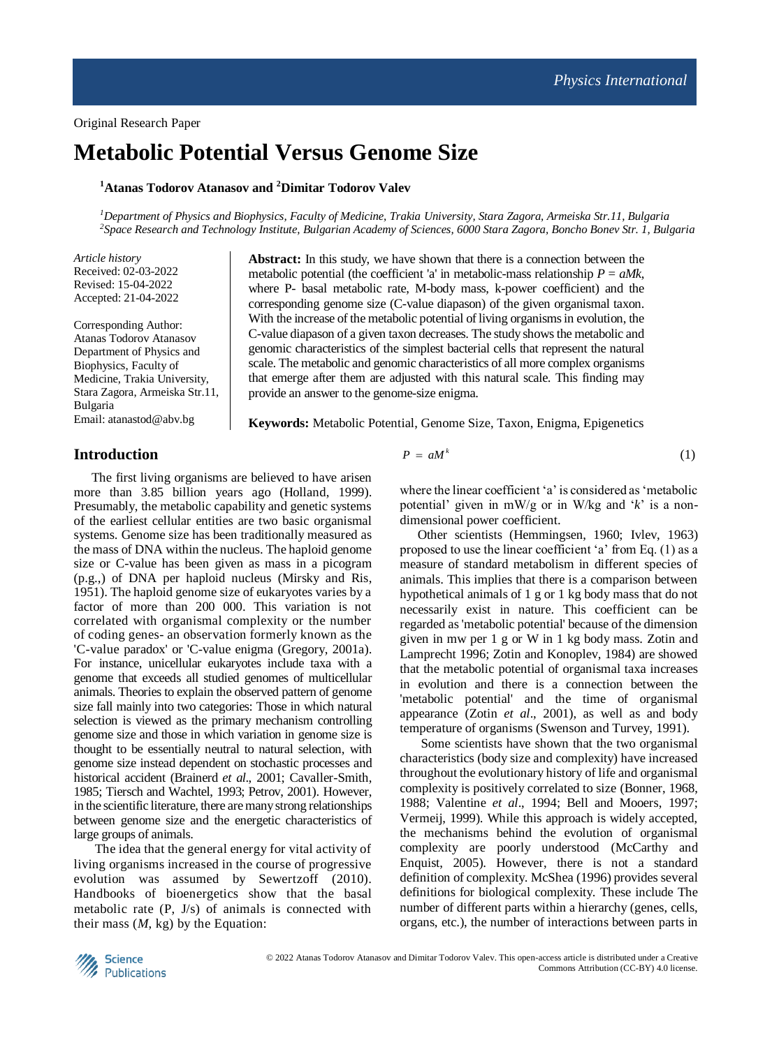# **Metabolic Potential Versus Genome Size**

**<sup>1</sup>Atanas Todorov Atanasov and <sup>2</sup>Dimitar Todorov Valev**

*<sup>1</sup>Department of Physics and Biophysics, Faculty of Medicine, Trakia University, Stara Zagora, Armeiska Str.11, Bulgaria 2 Space Research and Technology Institute, Bulgarian Academy of Sciences, 6000 Stara Zagora, Boncho Bonev Str. 1, Bulgaria*

*Article history* Received: 02-03-2022 Revised: 15-04-2022 Accepted: 21-04-2022

Corresponding Author: Atanas Todorov Atanasov Department of Physics and Biophysics, Faculty of Medicine, Trakia University, Stara Zagora, Armeiska Str.11, Bulgaria Email: atanastod@abv.bg

**Abstract:** In this study, we have shown that there is a connection between the metabolic potential (the coefficient 'a' in metabolic-mass relationship  $P = aMk$ , where P- basal metabolic rate, M-body mass, k-power coefficient) and the corresponding genome size (C-value diapason) of the given organismal taxon. With the increase of the metabolic potential of living organisms in evolution, the C-value diapason of a given taxon decreases. The study shows the metabolic and genomic characteristics of the simplest bacterial cells that represent the natural scale. The metabolic and genomic characteristics of all more complex organisms that emerge after them are adjusted with this natural scale. This finding may provide an answer to the genome-size enigma.

**Keywords:** Metabolic Potential, Genome Size, Taxon, Enigma, Epigenetics

#### **Introduction**

The first living organisms are believed to have arisen more than 3.85 billion years ago (Holland, 1999). Presumably, the metabolic capability and genetic systems of the earliest cellular entities are two basic organismal systems. Genome size has been traditionally measured as the mass of DNA within the nucleus. The haploid genome size or C-value has been given as mass in a picogram (p.g.,) of DNA per haploid nucleus (Mirsky and Ris, 1951). The haploid genome size of eukaryotes varies by a factor of more than 200 000. This variation is not correlated with organismal complexity or the number of coding genes- an observation formerly known as the 'C-value paradox' or 'C-value enigma (Gregory, 2001a). For instance, unicellular eukaryotes include taxa with a genome that exceeds all studied genomes of multicellular animals. Theories to explain the observed pattern of genome size fall mainly into two categories: Those in which natural selection is viewed as the primary mechanism controlling genome size and those in which variation in genome size is thought to be essentially neutral to natural selection, with genome size instead dependent on stochastic processes and historical accident (Brainerd *et al*., 2001; Cavaller-Smith, 1985; Tiersch and Wachtel, 1993; Petrov, 2001). However, in the scientific literature, there are many strong relationships between genome size and the energetic characteristics of large groups of animals.

The idea that the general energy for vital activity of living organisms increased in the course of progressive evolution was assumed by Sewertzoff (2010). Handbooks of bioenergetics show that the basal metabolic rate (P, J/s) of animals is connected with their mass  $(M, kg)$  by the Equation:

$$
P = aM^k \tag{1}
$$

where the linear coefficient 'a' is considered as 'metabolic potential' given in mW/g or in W/kg and '*k*' is a nondimensional power coefficient.

Other scientists (Hemmingsen, 1960; Ivlev, 1963) proposed to use the linear coefficient 'a' from Eq. (1) as a measure of standard metabolism in different species of animals. This implies that there is a comparison between hypothetical animals of 1 g or 1 kg body mass that do not necessarily exist in nature. This coefficient can be regarded as 'metabolic potential' because of the dimension given in mw per 1 g or W in 1 kg body mass. Zotin and Lamprecht 1996; Zotin and Konoplev, 1984) are showed that the metabolic potential of organismal taxa increases in evolution and there is a connection between the 'metabolic potential' and the time of organismal appearance (Zotin *et al*., 2001), as well as and body temperature of organisms (Swenson and Turvey, 1991).

Some scientists have shown that the two organismal characteristics (body size and complexity) have increased throughout the evolutionary history of life and organismal complexity is positively correlated to size (Bonner, 1968, 1988; Valentine *et al*., 1994; Bell and Mooers, 1997; Vermeij, 1999). While this approach is widely accepted, the mechanisms behind the evolution of organismal complexity are poorly understood (McCarthy and Enquist, 2005). However, there is not a standard definition of complexity. McShea (1996) provides several definitions for biological complexity. These include The number of different parts within a hierarchy (genes, cells, organs, etc.), the number of interactions between parts in

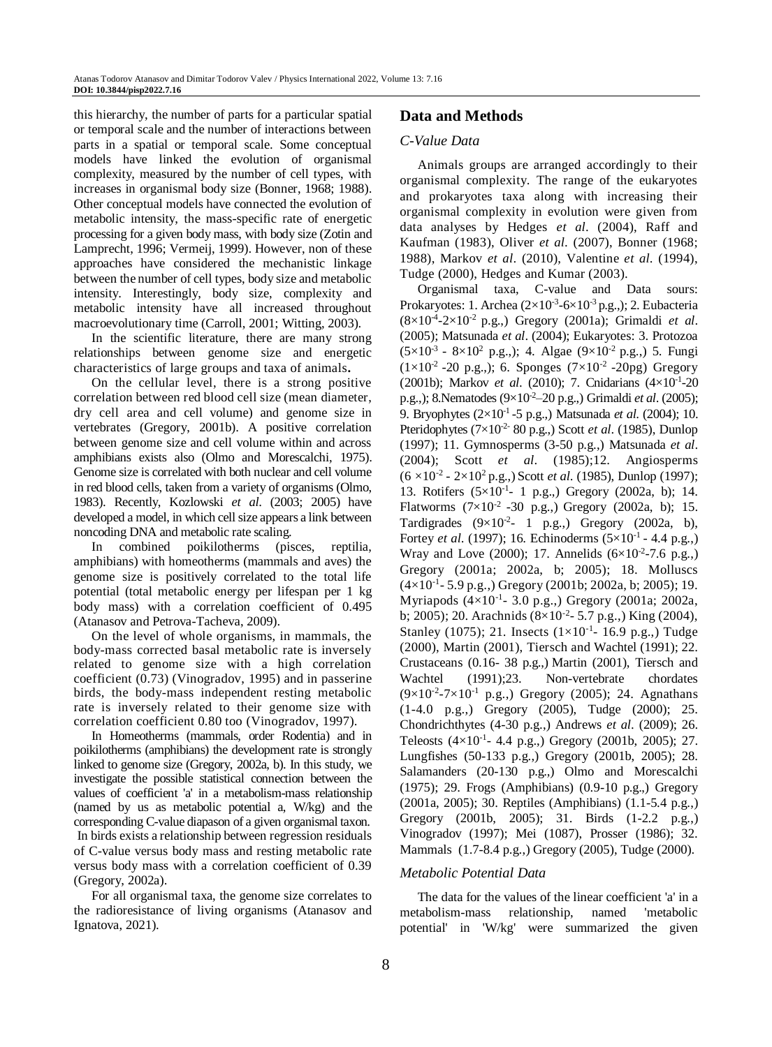this hierarchy, the number of parts for a particular spatial or temporal scale and the number of interactions between parts in a spatial or temporal scale. Some conceptual models have linked the evolution of organismal complexity, measured by the number of cell types, with increases in organismal body size (Bonner, 1968; 1988). Other conceptual models have connected the evolution of metabolic intensity, the mass-specific rate of energetic processing for a given body mass, with body size (Zotin and Lamprecht, 1996; Vermeij, 1999). However, non of these approaches have considered the mechanistic linkage between the number of cell types, body size and metabolic intensity. Interestingly, body size, complexity and metabolic intensity have all increased throughout macroevolutionary time (Carroll, 2001; Witting, 2003).

In the scientific literature, there are many strong relationships between genome size and energetic characteristics of large groups and taxa of animals**.** 

On the cellular level, there is a strong positive correlation between red blood cell size (mean diameter, dry cell area and cell volume) and genome size in vertebrates (Gregory, 2001b). A positive correlation between genome size and cell volume within and across amphibians exists also (Olmo and Morescalchi, 1975). Genome size is correlated with both nuclear and cell volume in red blood cells, taken from a variety of organisms (Olmo, 1983). Recently, Kozlowski *et al*. (2003; 2005) have developed a model, in which cell size appears a link between noncoding DNA and metabolic rate scaling.

In combined poikilotherms (pisces, reptilia, amphibians) with homeotherms (mammals and aves) the genome size is positively correlated to the total life potential (total metabolic energy per lifespan per 1 kg body mass) with a correlation coefficient of 0.495 (Atanasov and Petrova-Tacheva, 2009).

On the level of whole organisms, in mammals, the body-mass corrected basal metabolic rate is inversely related to genome size with a high correlation coefficient (0.73) (Vinogradov, 1995) and in passerine birds, the body-mass independent resting metabolic rate is inversely related to their genome size with correlation coefficient 0.80 too (Vinogradov, 1997).

In Homeotherms (mammals, order Rodentia) and in poikilotherms (amphibians) the development rate is strongly linked to genome size (Gregory, 2002a, b). In this study, we investigate the possible statistical connection between the values of coefficient 'a' in a metabolism-mass relationship (named by us as metabolic potential a, W/kg) and the corresponding C-value diapason of a given organismal taxon. In birds exists a relationship between regression residuals of C-value versus body mass and resting metabolic rate versus body mass with a correlation coefficient of 0.39 (Gregory, 2002a).

For all organismal taxa, the genome size correlates to the radioresistance of living organisms (Atanasov and Ignatova, 2021).

## **Data and Methods**

#### *C-Value Data*

Animals groups are arranged accordingly to their organismal complexity. The range of the eukaryotes and prokaryotes taxa along with increasing their organismal complexity in evolution were given from data analyses by Hedges *et al*. (2004), Raff and Kaufman (1983), Oliver *et al*. (2007), Bonner (1968; 1988), Markov *et al*. (2010), Valentine *et al*. (1994), Tudge (2000), Hedges and Kumar (2003).

Organismal taxa, C-value and Data sours: Prokaryotes: 1. Archea  $(2\times10^{-3}$ -6 $\times10^{-3}$  p.g.,); 2. Eubacteria  $(8 \times 10^{-4} - 2 \times 10^{-2} \text{ p.g.,})$  Gregory (2001a); Grimaldi *et al.* (2005); Matsunada *et al*. (2004); Eukaryotes: 3. Protozoa  $(5 \times 10^{-3} - 8 \times 10^{2} \text{ p.g.})$ ; 4. Algae  $(9 \times 10^{-2} \text{ p.g.})$  5. Fungi  $(1 \times 10^{-2} - 20 \text{ p.g.})$ ; 6. Sponges  $(7 \times 10^{-2} - 20 \text{pg})$  Gregory (2001b); Markov *et al.* (2010); 7. Cnidarians (4×10<sup>-1</sup>-20 p.g.,); 8.Nematodes (9×10-2–20 p.g.,) Grimaldi *et al*. (2005); 9. Bryophytes (2×10-1 -5 p.g.,) Matsunada *et al*. (2004); 10. Pteridophytes (7×10<sup>-2-</sup> 80 p.g.,) Scott *et al.* (1985), Dunlop (1997); 11. Gymnosperms (3-50 p.g.,) Matsunada *et al*. (2004); Scott *et al*. (1985);12. Angiosperms (6 ×10-2 - 2×10<sup>2</sup> p.g.,) Scott *et al*. (1985), Dunlop (1997); 13. Rotifers  $(5 \times 10^{-1} - 1)$  p.g., Gregory (2002a, b); 14. Flatworms  $(7 \times 10^{-2} - 30 \text{ p.g.})$  Gregory  $(2002a, b)$ ; 15. Tardigrades  $(9 \times 10^{-2} - 1)$  p.g., Gregory (2002a, b), Fortey *et al.* (1997); 16. Echinoderms (5×10<sup>-1</sup> - 4.4 p.g.,) Wray and Love (2000); 17. Annelids  $(6 \times 10^{-2} - 7.6 \text{ p.g.})$ Gregory (2001a; 2002a, b; 2005); 18. Molluscs  $(4 \times 10^{-1} - 5.9 \text{ p.g.})$  Gregory (2001b; 2002a, b; 2005); 19. Myriapods  $(4 \times 10^{-1} - 3.0 \text{ p.g.})$  Gregory (2001a; 2002a, b; 2005); 20. Arachnids  $(8 \times 10^{-2} - 5.7 \text{ p.g.,})$  King (2004), Stanley (1075); 21. Insects  $(1 \times 10^{-1} - 16.9 \text{ p.g.})$  Tudge (2000), Martin (2001), Tiersch and Wachtel (1991); 22. Crustaceans (0.16- 38 p.g.,) Martin (2001), Tiersch and Wachtel (1991);23. Non-vertebrate chordates  $(9 \times 10^{-2} - 7 \times 10^{-1} \text{ p.g.})$  Gregory (2005); 24. Agnathans (1-4.0 p.g.,) Gregory (2005), Tudge (2000); 25. Chondrichthytes (4-30 p.g.,) Andrews *et al*. (2009); 26. Teleosts  $(4 \times 10^{-1} - 4.4 \text{ p.g.})$  Gregory (2001b, 2005); 27. Lungfishes (50-133 p.g.,) Gregory (2001b, 2005); 28. Salamanders (20-130 p.g.,) Olmo and Morescalchi (1975); 29. Frogs (Amphibians) (0.9-10 p.g.,) Gregory (2001a, 2005); 30. Reptiles (Amphibians) (1.1-5.4 p.g.,) Gregory (2001b, 2005); 31. Birds (1-2.2 p.g.,) Vinogradov (1997); Mei (1087), Prosser (1986); 32. Mammals (1.7-8.4 p.g.,) Gregory (2005), Tudge (2000).

#### *Metabolic Potential Data*

The data for the values of the linear coefficient 'a' in a metabolism-mass relationship, named 'metabolic potential' in 'W/kg' were summarized the given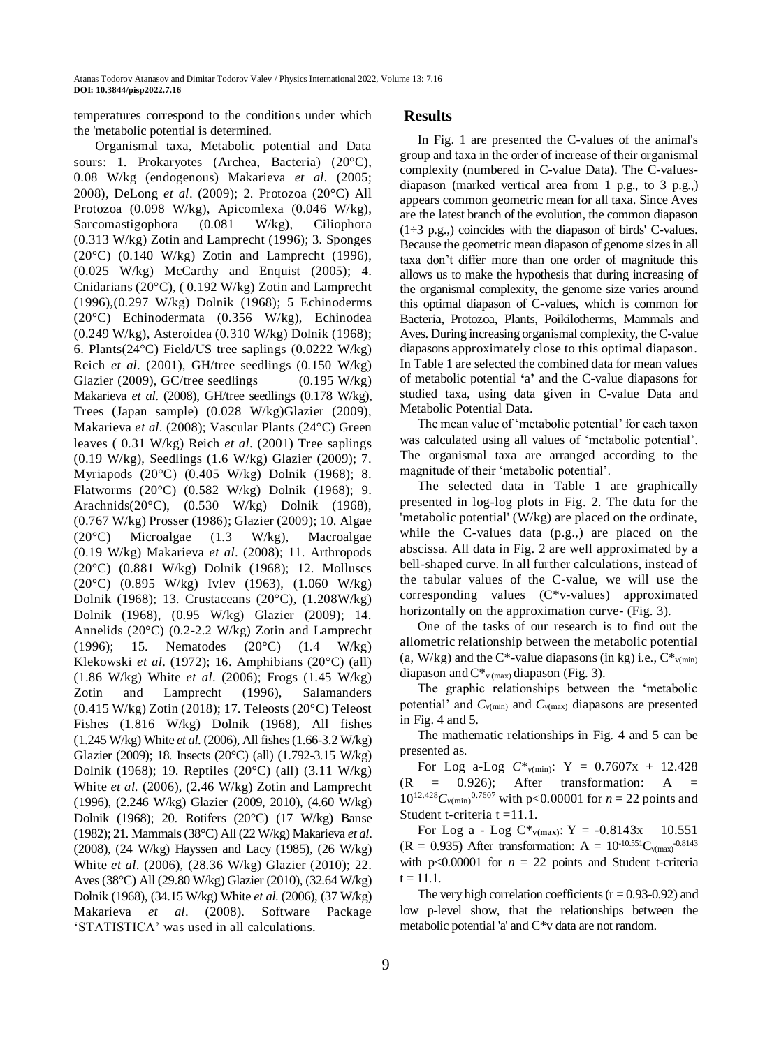temperatures correspond to the conditions under which the 'metabolic potential is determined.

Organismal taxa, Metabolic potential and Data sours: 1. Prokaryotes (Archea, Bacteria) (20°C), 0.08 W/kg (endogenous) Makarieva *et al*. (2005; 2008), DeLong *et al*. (2009); 2. Protozoa (20°C) All Protozoa (0.098 W/kg), Apicomlexa (0.046 W/kg), Sarcomastigophora (0.081 W/kg), Ciliophora (0.313 W/kg) Zotin and Lamprecht (1996); 3. Sponges (20°C) (0.140 W/kg) Zotin and Lamprecht (1996), (0.025 W/kg) McCarthy and Enquist (2005); 4. Cnidarians (20°C), ( 0.192 W/kg) Zotin and Lamprecht (1996),(0.297 W/kg) Dolnik (1968); 5 Echinoderms (20°C) Echinodermata (0.356 W/kg), Echinodea (0.249 W/kg), Asteroidea (0.310 W/kg) Dolnik (1968); 6. Plants(24°C) Field/US tree saplings (0.0222 W/kg) Reich *et al*. (2001), GH/tree seedlings (0.150 W/kg) Glazier (2009), GC/tree seedlings  $(0.195 \text{ W/kg})$ Makarieva *et al*. (2008), GH/tree seedlings (0.178 W/kg), Trees (Japan sample) (0.028 W/kg)Glazier (2009), Makarieva *et al*. (2008); Vascular Plants (24°C) Green leaves ( 0.31 W/kg) Reich *et al*. (2001) Tree saplings (0.19 W/kg), Seedlings (1.6 W/kg) Glazier (2009); 7. Myriapods (20°C) (0.405 W/kg) Dolnik (1968); 8. Flatworms (20°C) (0.582 W/kg) Dolnik (1968); 9. Arachnids(20°C), (0.530 W/kg) Dolnik (1968), (0.767 W/kg) Prosser (1986); Glazier (2009); 10. Algae (20°C) Microalgae (1.3 W/kg), Macroalgae (0.19 W/kg) Makarieva *et al*. (2008); 11. Arthropods (20°C) (0.881 W/kg) Dolnik (1968); 12. Molluscs (20°C) (0.895 W/kg) Ivlev (1963), (1.060 W/kg) Dolnik (1968); 13. Crustaceans (20°C), (1.208W/kg) Dolnik (1968), (0.95 W/kg) Glazier (2009); 14. Annelids (20°C) (0.2-2.2 W/kg) Zotin and Lamprecht (1996); 15. Nematodes (20°C) (1.4 W/kg) Klekowski *et al*. (1972); 16. Amphibians (20°C) (all) (1.86 W/kg) White *et al*. (2006); Frogs (1.45 W/kg) Zotin and Lamprecht (1996), Salamanders (0.415 W/kg) Zotin (2018); 17. Teleosts (20°C) Teleost Fishes (1.816 W/kg) Dolnik (1968), All fishes (1.245 W/kg) White *et al*. (2006), All fishes (1.66-3.2 W/kg) Glazier (2009); 18. Insects (20°C) (all) (1.792-3.15 W/kg) Dolnik (1968); 19. Reptiles (20°C) (all) (3.11 W/kg) White *et al.* (2006), (2.46 W/kg) Zotin and Lamprecht (1996), (2.246 W/kg) Glazier (2009, 2010), (4.60 W/kg) Dolnik (1968); 20. Rotifers (20°C) (17 W/kg) Banse (1982); 21. Mammals(38°C) All (22 W/kg) Makarieva *et al*. (2008), (24 W/kg) Hayssen and Lacy (1985), (26 W/kg) White *et al*. (2006), (28.36 W/kg) Glazier (2010); 22. Aves (38°C) All (29.80 W/kg) Glazier (2010), (32.64 W/kg) Dolnik (1968), (34.15 W/kg) White *et al*. (2006), (37 W/kg) Makarieva *et al*. (2008). Software Package 'STATISTICA' was used in all calculations.

#### **Results**

In Fig. 1 are presented the C-values of the animal's group and taxa in the order of increase of their organismal complexity (numbered in C-value Data**)**. The C-valuesdiapason (marked vertical area from 1 p.g., to 3 p.g.,) appears common geometric mean for all taxa. Since Aves are the latest branch of the evolution, the common diapason  $(1\div 3 \text{ p.g.})$  coincides with the diapason of birds' C-values. Because the geometric mean diapason of genome sizes in all taxa don't differ more than one order of magnitude this allows us to make the hypothesis that during increasing of the organismal complexity, the genome size varies around this optimal diapason of C-values, which is common for Bacteria, Protozoa, Plants, Poikilotherms, Mammals and Aves. During increasing organismal complexity, the C-value diapasons approximately close to this optimal diapason. In Table 1 are selected the combined data for mean values of metabolic potential **'**a**'** and the C-value diapasons for studied taxa, using data given in C-value Data and Metabolic Potential Data.

The mean value of 'metabolic potential' for each taxon was calculated using all values of 'metabolic potential'. The organismal taxa are arranged according to the magnitude of their 'metabolic potential'.

The selected data in Table 1 are graphically presented in log-log plots in Fig. 2. The data for the 'metabolic potential' (W/kg) are placed on the ordinate, while the C-values data (p.g.,) are placed on the abscissa. All data in Fig. 2 are well approximated by a bell-shaped curve. In all further calculations, instead of the tabular values of the C-value, we will use the corresponding values (C\*v-values) approximated horizontally on the approximation curve- (Fig. 3).

One of the tasks of our research is to find out the allometric relationship between the metabolic potential (a, W/kg) and the C\*-value diapasons (in kg) i.e.,  $C^*_{v(\text{min})}$ diapason and  $C^*_{v \, (max)}$  diapason (Fig. 3).

The graphic relationships between the 'metabolic potential' and  $C_{\nu(\text{min})}$  and  $C_{\nu(\text{max})}$  diapasons are presented in Fig. 4 and 5.

The mathematic relationships in Fig. 4 and 5 can be presented as.

For Log a-Log  $C^*_{\nu(\text{min})}$ : Y = 0.7607x + 12.428  $(R = 0.926)$ ; After transformation: A =  $10^{12.428}C_{\nu(\text{min})}$ <sup>0.7607</sup> with p<0.00001 for *n* = 22 points and Student t-criteria t =11.1.

For Log a - Log  $C^*_{v(max)}$ : Y = -0.8143x - 10.551  $(R = 0.935)$  After transformation:  $A = 10^{-10.551}C_{v(max)}^{0.8143}$ with  $p<0.00001$  for  $n = 22$  points and Student t-criteria  $t = 11.1.$ 

The very high correlation coefficients  $(r = 0.93 - 0.92)$  and low p-level show, that the relationships between the metabolic potential 'a' and C\*v data are not random.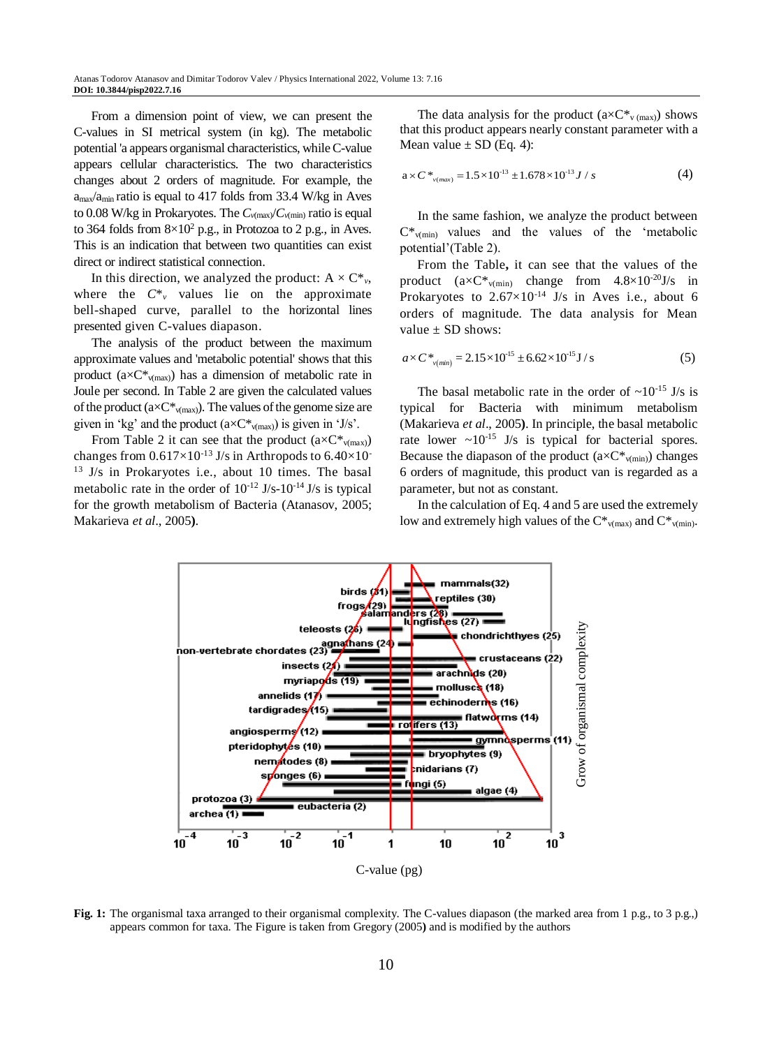From a dimension point of view, we can present the C-values in SI metrical system (in kg). The metabolic potential 'a appears organismal characteristics, whileC-value appears cellular characteristics. The two characteristics changes about 2 orders of magnitude. For example, the amax/amin ratio is equal to 417 folds from 33.4 W/kg in Aves to 0.08 W/kg in Prokaryotes. The  $C_{\nu(\text{max}}/C_{\nu(\text{min})}$  ratio is equal to 364 folds from  $8\times10^2$  p.g., in Protozoa to 2 p.g., in Aves. This is an indication that between two quantities can exist direct or indirect statistical connection.

In this direction, we analyzed the product:  $A \times C^*$ <sub>*v*</sub>, where the  $C^*$ <sup>v</sup> values lie on the approximate bell-shaped curve, parallel to the horizontal lines presented given C-values diapason.

The analysis of the product between the maximum approximate values and 'metabolic potential' shows that this product  $(a \times C^*_{v(\text{max})})$  has a dimension of metabolic rate in Joule per second. In Table 2 are given the calculated values of the product  $(a \times C^*_{v(max)})$ . The values of the genome size are given in 'kg' and the product  $(a \times C^*_{v(max)})$  is given in 'J/s'.

From Table 2 it can see that the product  $(a \times C^*_{v(max)})$ changes from  $0.617\times10^{-13}$  J/s in Arthropods to  $6.40\times10^{-15}$ <sup>13</sup> J/s in Prokaryotes i.e., about 10 times. The basal metabolic rate in the order of  $10^{-12}$  J/s- $10^{-14}$  J/s is typical for the growth metabolism of Bacteria (Atanasov, 2005; Makarieva *et al*., 2005**)**.

The data analysis for the product  $(a \times C^*v_{\text{max}})$  shows that this product appears nearly constant parameter with a Mean value  $\pm$  SD (Eq. 4):

$$
a \times C^*_{\nu(max)} = 1.5 \times 10^{-13} \pm 1.678 \times 10^{-13} J / s \tag{4}
$$

In the same fashion, we analyze the product between  $C^*$ <sub>v(min)</sub> values and the values of the 'metabolic potential'(Table 2).

From the Table**,** it can see that the values of the product  $(axC*_{v(min)}$  change from  $4.8\times10^{-20}$  J/s in Prokaryotes to  $2.67 \times 10^{-14}$  J/s in Aves i.e., about 6 orders of magnitude. The data analysis for Mean value  $\pm$  SD shows:

$$
a \times C^*_{v(\text{min})} = 2.15 \times 10^{15} \pm 6.62 \times 10^{15} \text{ J/s}
$$
 (5)

The basal metabolic rate in the order of  $\sim 10^{-15}$  J/s is typical for Bacteria with minimum metabolism (Makarieva *et al*., 2005**)**. In principle, the basal metabolic rate lower  $\sim 10^{-15}$  J/s is typical for bacterial spores. Because the diapason of the product  $(a \times C^*_{v(min)})$  changes 6 orders of magnitude, this product van is regarded as a parameter, but not as constant.

In the calculation of Eq. 4 and 5 are used the extremely low and extremely high values of the  $C^*_{v(max)}$  and  $C^*_{v(min)}$ .



**Fig. 1:** The organismal taxa arranged to their organismal complexity. The C-values diapason (the marked area from 1 p.g., to 3 p.g.,) appears common for taxa. The Figure is taken from Gregory (2005**)** and is modified by the authors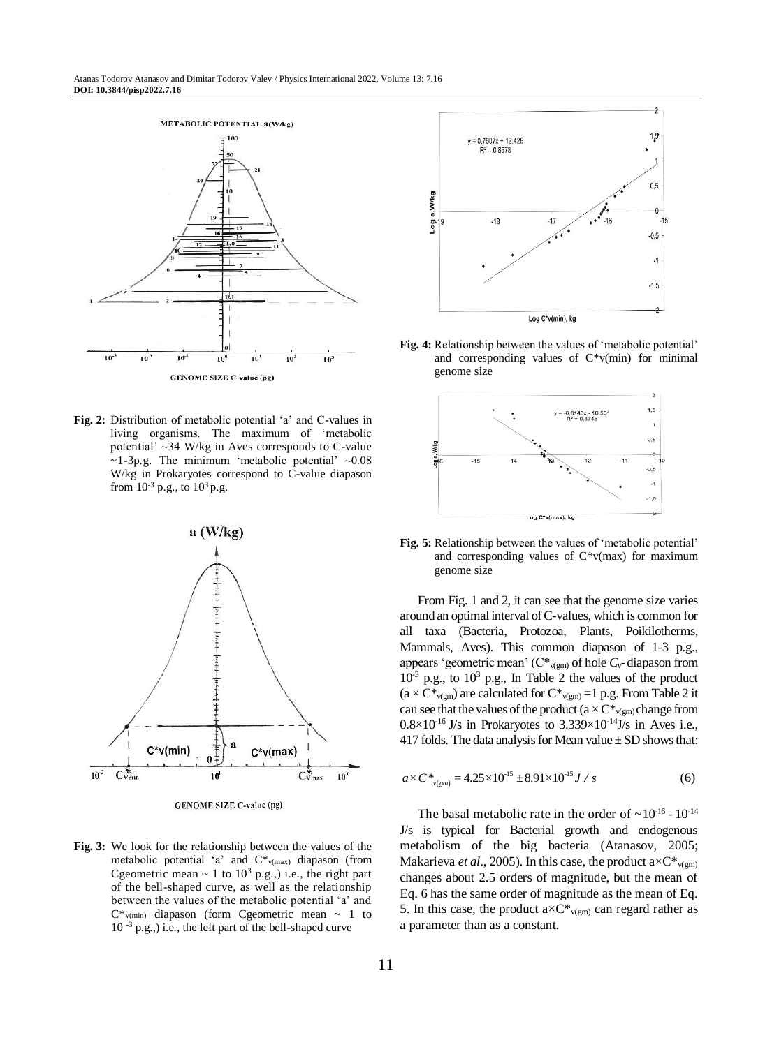

**Fig. 2:** Distribution of metabolic potential 'a' and C-values in living organisms. The maximum of 'metabolic potential'  $\sim$ 34 W/kg in Aves corresponds to C-value  $\sim$ 1-3p.g. The minimum 'metabolic potential'  $\sim$ 0.08 W/kg in Prokaryotes correspond to C-value diapason from  $10^{-3}$  p.g., to  $10^{3}$  p.g.



**GENOME SIZE C-value (pg)** 

**Fig. 3:** We look for the relationship between the values of the metabolic potential 'a' and C\*v(max) diapason (from Cgeometric mean  $\sim 1$  to  $10^3$  p.g.,) i.e., the right part of the bell-shaped curve, as well as the relationship between the values of the metabolic potential 'a' and  $C^*_{v(\text{min})}$  diapason (form Cgeometric mean ~ 1 to 10 -3 p.g.,) i.e., the left part of the bell-shaped curve



**Fig. 4:** Relationship between the values of 'metabolic potential' and corresponding values of  $C*v(min)$  for minimal genome size



**Fig. 5:** Relationship between the values of 'metabolic potential' and corresponding values of C\*v(max) for maximum genome size

From Fig. 1 and 2, it can see that the genome size varies around an optimal interval of C-values, which is common for all taxa (Bacteria, Protozoa, Plants, Poikilotherms, Mammals, Aves). This common diapason of 1-3 p.g., appears 'geometric mean' ( $C^*_{v(gm)}$  of hole  $C_v$ -diapason from  $10^{-3}$  p.g., to  $10^{3}$  p.g., In Table 2 the values of the product  $(a \times C^*_{v(gm)})$  are calculated for  $C^*_{v(gm)} = 1$  p.g. From Table 2 it can see that the values of the product ( $a \times C^*_{v(gm)}$  change from  $0.8\times10^{-16}$  J/s in Prokaryotes to  $3.339\times10^{-14}$  J/s in Aves i.e., 417 folds. The data analysis for Mean value  $\pm$  SD shows that:

$$
a \times C^*_{\nu(gm)} = 4.25 \times 10^{-15} \pm 8.91 \times 10^{-15} J / s \tag{6}
$$

The basal metabolic rate in the order of  $\sim 10^{-16}$  -  $10^{-14}$ J/s is typical for Bacterial growth and endogenous metabolism of the big bacteria (Atanasov, 2005; Makarieva *et al.*, 2005). In this case, the product  $a \times C^*_{\nu(\text{gm})}$ changes about 2.5 orders of magnitude, but the mean of Eq. 6 has the same order of magnitude as the mean of Eq. 5. In this case, the product  $a \times C^*_{v(gm)}$  can regard rather as a parameter than as a constant.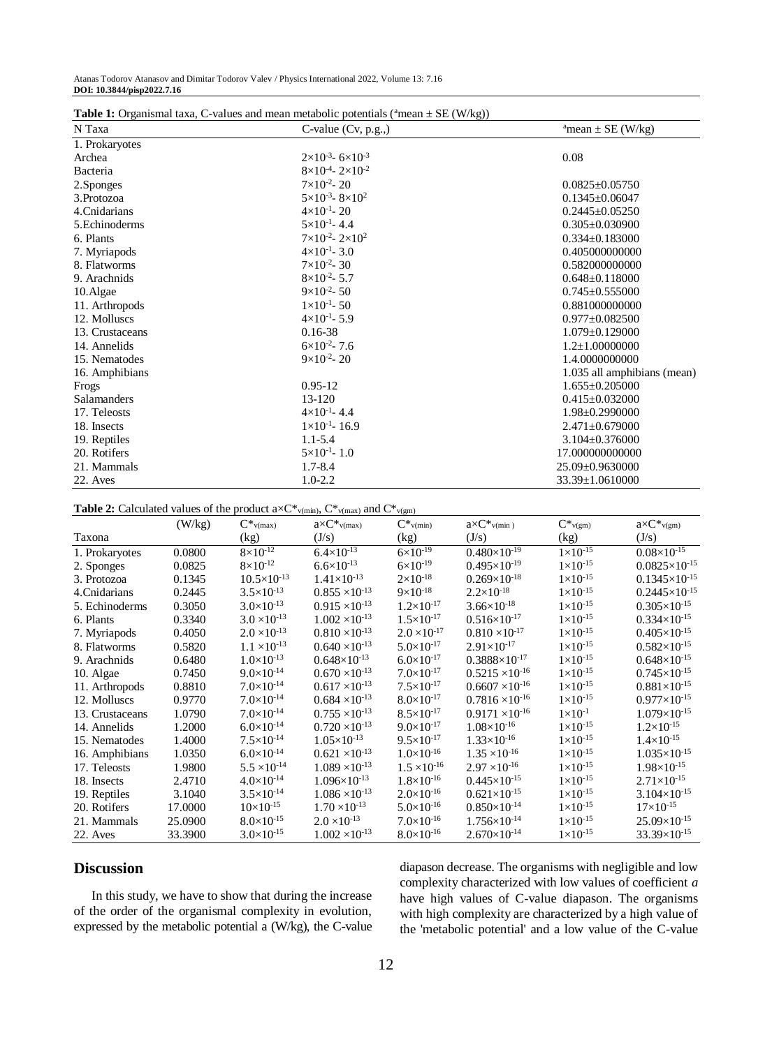| N Taxa          | $\sim$ values and mean metabolic potentials (mean $=$ 5D (m/ng/)<br>C-value (Cv, p.g.,) | <sup>a</sup> mean $\pm$ SE (W/kg) |
|-----------------|-----------------------------------------------------------------------------------------|-----------------------------------|
| 1. Prokaryotes  |                                                                                         |                                   |
| Archea          | $2\times10^{-3} - 6\times10^{-3}$                                                       | 0.08                              |
| <b>Bacteria</b> | $8\times10^{-4}$ - 2×10 <sup>-2</sup>                                                   |                                   |
| 2.Sponges       | $7\times10^{-2}$ - 20                                                                   | $0.0825 \pm 0.05750$              |
| 3. Protozoa     | $5 \times 10^{-3}$ - $8 \times 10^{2}$                                                  | $0.1345 \pm 0.06047$              |
| 4. Cnidarians   | $4\times10^{-1}$ - 20                                                                   | $0.2445 \pm 0.05250$              |
| 5. Echinoderms  | $5 \times 10^{-1}$ - 4.4                                                                | $0.305 \pm 0.030900$              |
| 6. Plants       | $7\times10^{-2} - 2\times10^{2}$                                                        | $0.334 \pm 0.183000$              |
| 7. Myriapods    | $4\times10^{-1}$ - 3.0                                                                  | 0.405000000000                    |
| 8. Flatworms    | $7\times10^{-2}$ - 30                                                                   | 0.582000000000                    |
| 9. Arachnids    | $8\times10^{-2}$ - 5.7                                                                  | $0.648 \pm 0.118000$              |
| 10. Algae       | $9\times10^{-2}$ - 50                                                                   | $0.745 \pm 0.555000$              |
| 11. Arthropods  | $1 \times 10^{-1}$ - 50                                                                 | 0.881000000000                    |
| 12. Molluscs    | $4\times10^{-1}$ - 5.9                                                                  | $0.977 \pm 0.082500$              |
| 13. Crustaceans | $0.16 - 38$                                                                             | $1.079 \pm 0.129000$              |
| 14. Annelids    | $6\times10^{-2}$ - 7.6                                                                  | $1.2+1.00000000$                  |
| 15. Nematodes   | $9\times10^{-2} - 20$                                                                   | 1.4.0000000000                    |
| 16. Amphibians  |                                                                                         | 1.035 all amphibians (mean)       |
| Frogs           | $0.95 - 12$                                                                             | $1.655 \pm 0.205000$              |
| Salamanders     | 13-120                                                                                  | $0.415 \pm 0.032000$              |
| 17. Teleosts    | $4\times10^{-1}$ - 4.4                                                                  | 1.98±0.2990000                    |
| 18. Insects     | $1\times10^{-1}$ - 16.9                                                                 | $2.471 \pm 0.679000$              |
| 19. Reptiles    | $1.1 - 5.4$                                                                             | $3.104 + 0.376000$                |
| 20. Rotifers    | $5 \times 10^{-1}$ - 1.0                                                                | 17.000000000000                   |
| 21. Mammals     | $1.7 - 8.4$                                                                             | 25.09±0.9630000                   |
| 22. Aves        | $1.0 - 2.2$                                                                             | 33.39±1.0610000                   |

**Table 1:** Organismal taxa, C-values and mean metabolic potentials ( $a$ mean  $\pm$  SE (W/kg))

**Table 2:** Calculated values of the product  $a \times C^*$ <sub>v(min)</sub>,  $C^*$ <sub>v(max)</sub> and  $C^*$ <sub>v(gm)</sub>

|                 |         |                        | $P1 = P2 = P1 = P1 = P2 = P1 = P1 = P2 = P1 = P2 = P3 = P4 = P5 = P6 = P7 = P1 = P1 = P1 = P1 = P1 = P1 = P2 = P1 = P1 = P$ | "                       |                                   |                     |                                 |
|-----------------|---------|------------------------|-----------------------------------------------------------------------------------------------------------------------------|-------------------------|-----------------------------------|---------------------|---------------------------------|
|                 | (W/kg)  | $C\ast_{v(max)}$       | $a \times C^*$ <sub>V(max)</sub>                                                                                            | $C^*$ <sub>v(min)</sub> | $a \times C^*$ <sub>v(min</sub> ) | $C\ast_{v(gm)}$     | $a \times C^*$ <sub>v(gm)</sub> |
| Taxona          |         | (kg)                   | (J/s)                                                                                                                       | (kg)                    | (J/s)                             | (kg)                | (J/s)                           |
| 1. Prokaryotes  | 0.0800  | $8 \times 10^{-12}$    | $6.4 \times 10^{-13}$                                                                                                       | $6 \times 10^{-19}$     | $0.480\times10^{-19}$             | $1 \times 10^{-15}$ | $0.08\times10^{-15}$            |
| 2. Sponges      | 0.0825  | $8\times10^{-12}$      | $6.6 \times 10^{-13}$                                                                                                       | $6 \times 10^{-19}$     | $0.495\times10^{-19}$             | $1 \times 10^{-15}$ | $0.0825\times10^{-15}$          |
| 3. Protozoa     | 0.1345  | $10.5 \times 10^{-13}$ | $1.41\times10^{-13}$                                                                                                        | $2 \times 10^{-18}$     | $0.269\times10^{-18}$             | $1 \times 10^{-15}$ | $0.1345\times10^{-15}$          |
| 4. Cnidarians   | 0.2445  | $3.5 \times 10^{-13}$  | $0.855 \times 10^{-13}$                                                                                                     | $9\times10^{-18}$       | $2.2\times10^{-18}$               | $1 \times 10^{-15}$ | $0.2445\times10^{-15}$          |
| 5. Echinoderms  | 0.3050  | $3.0 \times 10^{-13}$  | $0.915 \times 10^{-13}$                                                                                                     | $1.2 \times 10^{-17}$   | $3.66\times10^{-18}$              | $1 \times 10^{-15}$ | $0.305\times10^{-15}$           |
| 6. Plants       | 0.3340  | $3.0 \times 10^{-13}$  | $1.002 \times 10^{-13}$                                                                                                     | $1.5 \times 10^{-17}$   | $0.516\times10^{-17}$             | $1 \times 10^{-15}$ | $0.334\times10^{-15}$           |
| 7. Myriapods    | 0.4050  | $2.0 \times 10^{-13}$  | $0.810 \times 10^{-13}$                                                                                                     | $2.0 \times 10^{-17}$   | $0.810 \times 10^{-17}$           | $1 \times 10^{-15}$ | $0.405\times10^{-15}$           |
| 8. Flatworms    | 0.5820  | $1.1 \times 10^{-13}$  | $0.640 \times 10^{-13}$                                                                                                     | $5.0\times10^{-17}$     | $2.91\times10^{-17}$              | $1 \times 10^{-15}$ | $0.582\times10^{-15}$           |
| 9. Arachnids    | 0.6480  | $1.0\times10^{-13}$    | $0.648\times10^{-13}$                                                                                                       | $6.0\times10^{-17}$     | $0.3888\times10^{-17}$            | $1 \times 10^{-15}$ | $0.648\times10^{-15}$           |
| 10. Algae       | 0.7450  | $9.0\times10^{-14}$    | $0.670 \times 10^{-13}$                                                                                                     | $7.0\times10^{-17}$     | $0.5215 \times 10^{-16}$          | $1 \times 10^{-15}$ | $0.745\times10^{-15}$           |
| 11. Arthropods  | 0.8810  | $7.0 \times 10^{-14}$  | $0.617 \times 10^{-13}$                                                                                                     | $7.5 \times 10^{-17}$   | $0.6607 \times 10^{-16}$          | $1 \times 10^{-15}$ | $0.881{\times}10^{\text{-}15}$  |
| 12. Molluscs    | 0.9770  | $7.0\times10^{-14}$    | $0.684 \times 10^{-13}$                                                                                                     | $8.0\times10^{-17}$     | $0.7816 \times 10^{-16}$          | $1 \times 10^{-15}$ | $0.977\times10^{-15}$           |
| 13. Crustaceans | 1.0790  | $7.0\times10^{-14}$    | $0.755 \times 10^{-13}$                                                                                                     | $8.5\times10^{-17}$     | $0.9171 \times 10^{-16}$          | $1\times10^{-1}$    | $1.079\times10^{-15}$           |
| 14. Annelids    | 1.2000  | $6.0\times10^{-14}$    | $0.720 \times 10^{-13}$                                                                                                     | $9.0\times10^{-17}$     | $1.08\times10^{-16}$              | $1 \times 10^{-15}$ | $1.2\times10^{-15}$             |
| 15. Nematodes   | 1.4000  | $7.5 \times 10^{-14}$  | $1.05\times10^{-13}$                                                                                                        | $9.5 \times 10^{-17}$   | $1.33\times10^{-16}$              | $1 \times 10^{-15}$ | $1.4\times10^{-15}$             |
| 16. Amphibians  | 1.0350  | $6.0\times10^{-14}$    | $0.621 \times 10^{-13}$                                                                                                     | $1.0\times10^{-16}$     | $1.35 \times 10^{-16}$            | $1 \times 10^{-15}$ | $1.035\times10^{-15}$           |
| 17. Teleosts    | 1.9800  | $5.5 \times 10^{-14}$  | $1.089 \times 10^{-13}$                                                                                                     | $1.5 \times 10^{-16}$   | $2.97 \times 10^{-16}$            | $1 \times 10^{-15}$ | $1.98 \times 10^{-15}$          |
| 18. Insects     | 2.4710  | $4.0 \times 10^{-14}$  | $1.096\times10^{-13}$                                                                                                       | $1.8\times10^{-16}$     | $0.445\times10^{-15}$             | $1 \times 10^{-15}$ | $2.71\times10^{-15}$            |
| 19. Reptiles    | 3.1040  | $3.5 \times 10^{-14}$  | $1.086 \times 10^{-13}$                                                                                                     | $2.0\times10^{-16}$     | $0.621\times10^{-15}$             | $1 \times 10^{-15}$ | $3.104\times10^{-15}$           |
| 20. Rotifers    | 17.0000 | $10\times10^{-15}$     | $1.70 \times 10^{-13}$                                                                                                      | $5.0 \times 10^{-16}$   | $0.850\times10^{-14}$             | $1 \times 10^{-15}$ | $17\times10^{-15}$              |
| 21. Mammals     | 25.0900 | $8.0\times10^{-15}$    | $2.0 \times 10^{-13}$                                                                                                       | $7.0\times10^{-16}$     | $1.756 \times 10^{-14}$           | $1 \times 10^{-15}$ | $25.09\times10^{-15}$           |
| 22. Aves        | 33.3900 | $3.0 \times 10^{-15}$  | $1.002 \times 10^{-13}$                                                                                                     | $8.0 \times 10^{-16}$   | $2.670\times10^{-14}$             | $1 \times 10^{-15}$ | 33.39×10-15                     |

## **Discussion**

In this study, we have to show that during the increase of the order of the organismal complexity in evolution, expressed by the metabolic potential a (W/kg), the C-value diapason decrease. The organisms with negligible and low complexity characterized with low values of coefficient *a*  have high values of C-value diapason. The organisms with high complexity are characterized by a high value of the 'metabolic potential' and a low value of the C-value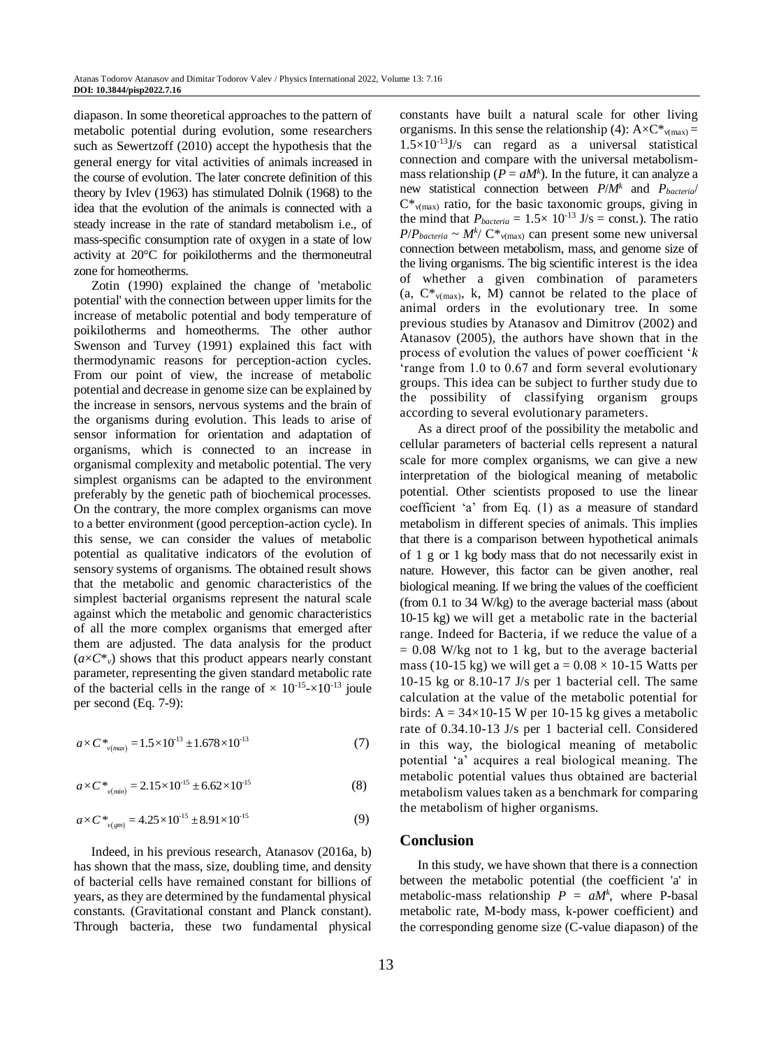diapason. In some theoretical approaches to the pattern of metabolic potential during evolution, some researchers such as Sewertzoff (2010) accept the hypothesis that the general energy for vital activities of animals increased in the course of evolution. The later concrete definition of this theory by Ivlev (1963) has stimulated Dolnik (1968) to the idea that the evolution of the animals is connected with a steady increase in the rate of standard metabolism i.e., of mass-specific consumption rate of oxygen in a state of low activity at 20°C for poikilotherms and the thermoneutral zone for homeotherms.

Zotin (1990) explained the change of 'metabolic potential' with the connection between upper limits for the increase of metabolic potential and body temperature of poikilotherms and homeotherms. The other author Swenson and Turvey (1991) explained this fact with thermodynamic reasons for perception-action cycles. From our point of view, the increase of metabolic potential and decrease in genome size can be explained by the increase in sensors, nervous systems and the brain of the organisms during evolution. This leads to arise of sensor information for orientation and adaptation of organisms, which is connected to an increase in organismal complexity and metabolic potential. The very simplest organisms can be adapted to the environment preferably by the genetic path of biochemical processes. On the contrary, the more complex organisms can move to a better environment (good perception-action cycle). In this sense, we can consider the values of metabolic potential as qualitative indicators of the evolution of sensory systems of organisms. The obtained result shows that the metabolic and genomic characteristics of the simplest bacterial organisms represent the natural scale against which the metabolic and genomic characteristics of all the more complex organisms that emerged after them are adjusted. The data analysis for the product  $(a \times C^*$ <sup>v</sup>) shows that this product appears nearly constant parameter, representing the given standard metabolic rate of the bacterial cells in the range of  $\times 10^{-15}$ - $\times 10^{-13}$  joule per second (Eq. 7-9):

$$
a \times C^*_{\nu_{\text{max}}} = 1.5 \times 10^{-13} \pm 1.678 \times 10^{-13} \tag{7}
$$

$$
a \times C^*_{\nu(mini)} = 2.15 \times 10^{15} \pm 6.62 \times 10^{15}
$$
 (8)

$$
a \times C^*_{\nu(gm)} = 4.25 \times 10^{-15} \pm 8.91 \times 10^{-15}
$$
 (9)

Indeed, in his previous research, Atanasov (2016a, b) has shown that the mass, size, doubling time, and density of bacterial cells have remained constant for billions of years, as they are determined by the fundamental physical constants. (Gravitational constant and Planck constant). Through bacteria, these two fundamental physical

constants have built a natural scale for other living organisms. In this sense the relationship (4):  $A \times C^*_{v(max)} =$  $1.5 \times 10^{-13}$ J/s can regard as a universal statistical connection and compare with the universal metabolismmass relationship ( $P = aM<sup>k</sup>$ ). In the future, it can analyze a new statistical connection between *P*/*M<sup>k</sup>* and *Pbacteria*/  $C^*_{v(\text{max})}$  ratio, for the basic taxonomic groups, giving in the mind that  $P_{bacteria} = 1.5 \times 10^{-13}$  J/s = const.). The ratio  $P/P_{\text{bacteria}} \sim M^k/\,\mathrm{C}^*_{\text{v(max)}}$  can present some new universal connection between metabolism, mass, and genome size of the living organisms. The big scientific interest is the idea of whether a given combination of parameters (a,  $C^*_{v(\text{max})}$ , k, M) cannot be related to the place of animal orders in the evolutionary tree. In some previous studies by Atanasov and Dimitrov (2002) and Atanasov (2005), the authors have shown that in the process of evolution the values of power coefficient '*k* 'range from 1.0 to 0.67 and form several evolutionary groups. This idea can be subject to further study due to the possibility of classifying organism groups according to several evolutionary parameters.

As a direct proof of the possibility the metabolic and cellular parameters of bacterial cells represent a natural scale for more complex organisms, we can give a new interpretation of the biological meaning of metabolic potential. Other scientists proposed to use the linear coefficient 'a' from Eq. (1) as a measure of standard metabolism in different species of animals. This implies that there is a comparison between hypothetical animals of 1 g or 1 kg body mass that do not necessarily exist in nature. However, this factor can be given another, real biological meaning. If we bring the values of the coefficient (from 0.1 to 34 W/kg) to the average bacterial mass (about 10-15 kg) we will get a metabolic rate in the bacterial range. Indeed for Bacteria, if we reduce the value of a  $= 0.08$  W/kg not to 1 kg, but to the average bacterial mass (10-15 kg) we will get a =  $0.08 \times 10$ -15 Watts per 10-15 kg or 8.10-17 J/s per 1 bacterial cell. The same calculation at the value of the metabolic potential for birds:  $A = 34 \times 10-15$  W per 10-15 kg gives a metabolic rate of 0.34.10-13 J/s per 1 bacterial cell. Considered in this way, the biological meaning of metabolic potential 'a' acquires a real biological meaning. The metabolic potential values thus obtained are bacterial metabolism values taken as a benchmark for comparing the metabolism of higher organisms.

#### **Conclusion**

In this study, we have shown that there is a connection between the metabolic potential (the coefficient 'a' in metabolic-mass relationship  $P = aM^k$ , where P-basal metabolic rate, M-body mass, k-power coefficient) and the corresponding genome size (C-value diapason) of the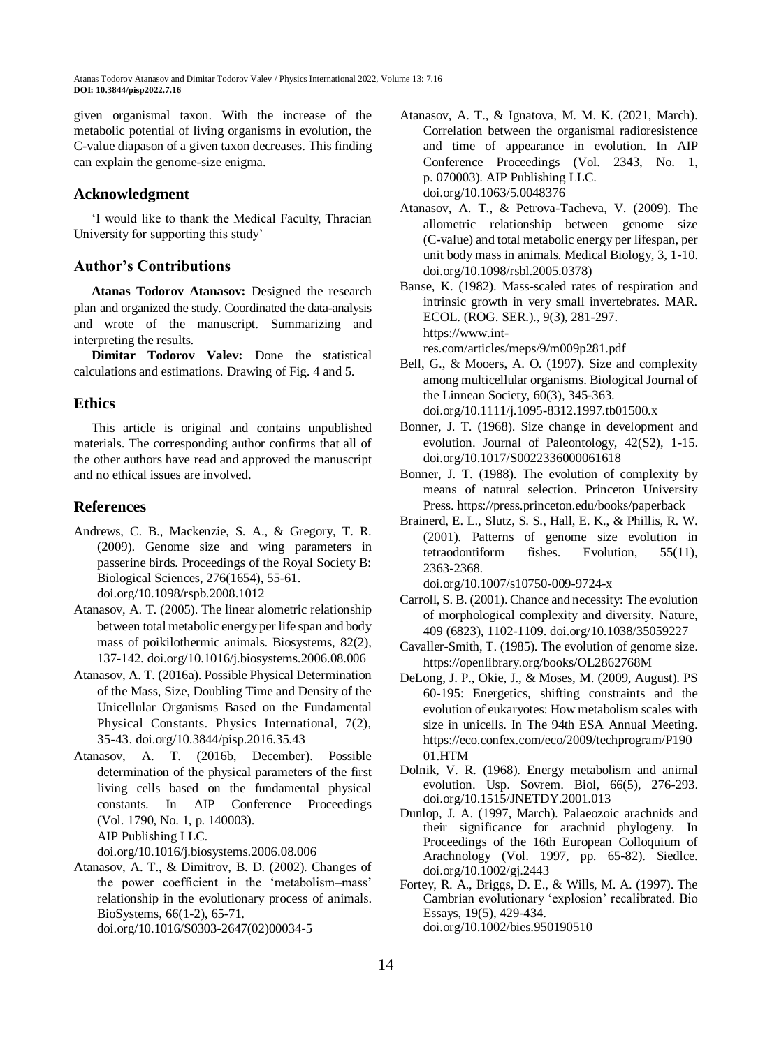given organismal taxon. With the increase of the metabolic potential of living organisms in evolution, the C-value diapason of a given taxon decreases. This finding can explain the genome-size enigma.

### **Acknowledgment**

'I would like to thank the Medical Faculty, Thracian University for supporting this study'

## **Author's Contributions**

**Atanas Todorov Atanasov:** Designed the research plan and organized the study. Coordinated the data-analysis and wrote of the manuscript. Summarizing and interpreting the results.

**Dimitar Todorov Valev:** Done the statistical calculations and estimations. Drawing of Fig. 4 and 5.

## **Ethics**

This article is original and contains unpublished materials. The corresponding author confirms that all of the other authors have read and approved the manuscript and no ethical issues are involved.

## **References**

- Andrews, C. B., Mackenzie, S. A., & Gregory, T. R. (2009). Genome size and wing parameters in passerine birds. Proceedings of the Royal Society B: Biological Sciences, 276(1654), 55-61. doi.org/10.1098/rspb.2008.1012
- Atanasov, A. T. (2005). The linear alometric relationship between total metabolic energy per life span and body mass of poikilothermic animals. Biosystems, 82(2), 137-142. doi.org/10.1016/j.biosystems.2006.08.006
- Atanasov, A. T. (2016a). Possible Physical Determination of the Mass, Size, Doubling Time and Density of the Unicellular Organisms Based on the Fundamental Physical Constants. Physics International, 7(2), 35-43. doi.org/10.3844/pisp.2016.35.43
- Atanasov, A. T. (2016b, December). Possible determination of the physical parameters of the first living cells based on the fundamental physical constants. In AIP Conference Proceedings (Vol. 1790, No. 1, p. 140003). AIP Publishing LLC.

doi.org/10.1016/j.biosystems.2006.08.006

Atanasov, A. T., & Dimitrov, B. D. (2002). Changes of the power coefficient in the 'metabolism–mass' relationship in the evolutionary process of animals. BioSystems, 66(1-2), 65-71. doi.org/10.1016/S0303-2647(02)00034-5

- Atanasov, A. T., & Ignatova, M. M. K. (2021, March). Correlation between the organismal radioresistence and time of appearance in evolution. In AIP Conference Proceedings (Vol. 2343, No. 1, p. 070003). AIP Publishing LLC. doi.org/10.1063/5.0048376
- Atanasov, A. T., & Petrova-Tacheva, V. (2009). The allometric relationship between genome size (C-value) and total metabolic energy per lifespan, per unit body mass in animals. Medical Biology, 3, 1-10. doi.org/10.1098/rsbl.2005.0378)

Banse, K. (1982). Mass-scaled rates of respiration and intrinsic growth in very small invertebrates. MAR. ECOL. (ROG. SER.)., 9(3), 281-297. https://www.intres.com/articles/meps/9/m009p281.pdf

- Bell, G., & Mooers, A. O. (1997). Size and complexity among multicellular organisms. Biological Journal of the Linnean Society, 60(3), 345-363. doi.org/10.1111/j.1095-8312.1997.tb01500.x
- Bonner, J. T. (1968). Size change in development and evolution. Journal of Paleontology, 42(S2), 1-15. doi.org/10.1017/S0022336000061618
- Bonner, J. T. (1988). The evolution of complexity by means of natural selection. Princeton University Press. https://press.princeton.edu/books/paperback
- Brainerd, E. L., Slutz, S. S., Hall, E. K., & Phillis, R. W. (2001). Patterns of genome size evolution in tetraodontiform fishes. Evolution, 55(11), 2363-2368.

doi.org/10.1007/s10750-009-9724-x

- Carroll, S. B. (2001). Chance and necessity: The evolution of morphological complexity and diversity. Nature, 409 (6823), 1102-1109. doi.org/10.1038/35059227
- Cavaller-Smith, T. (1985). The evolution of genome size. https://openlibrary.org/books/OL2862768M
- DeLong, J. P., Okie, J., & Moses, M. (2009, August). PS 60-195: Energetics, shifting constraints and the evolution of eukaryotes: How metabolism scales with size in unicells. In The 94th ESA Annual Meeting. https://eco.confex.com/eco/2009/techprogram/P190 01.HTM
- Dolnik, V. R. (1968). Energy metabolism and animal evolution. Usp. Sovrem. Biol, 66(5), 276-293. doi.org/10.1515/JNETDY.2001.013
- Dunlop, J. A. (1997, March). Palaeozoic arachnids and their significance for arachnid phylogeny. In Proceedings of the 16th European Colloquium of Arachnology (Vol. 1997, pp. 65-82). Siedlce. doi.org/10.1002/gj.2443
- Fortey, R. A., Briggs, D. E., & Wills, M. A. (1997). The Cambrian evolutionary 'explosion' recalibrated. Bio Essays, 19(5), 429-434. doi.org/10.1002/bies.950190510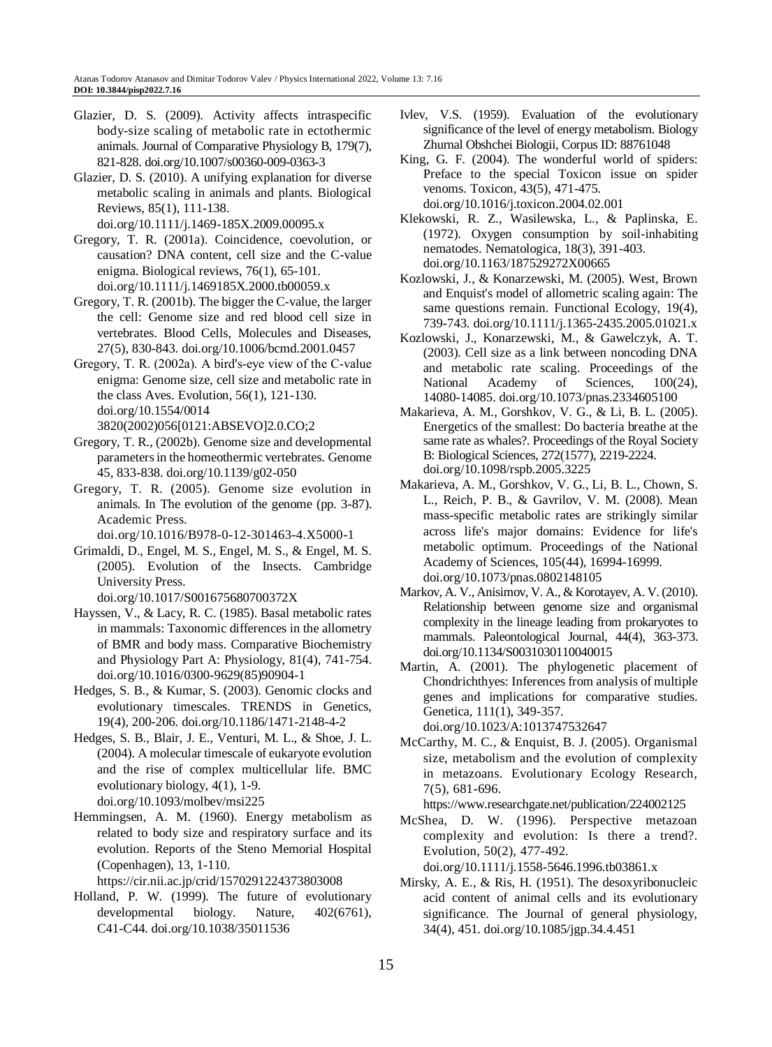- Glazier, D. S. (2009). Activity affects intraspecific body-size scaling of metabolic rate in ectothermic animals. Journal of Comparative Physiology B, 179(7), 821-828. doi.org/10.1007/s00360-009-0363-3
- Glazier, D. S. (2010). A unifying explanation for diverse metabolic scaling in animals and plants. Biological Reviews, 85(1), 111-138.

doi.org/10.1111/j.1469-185X.2009.00095.x

- Gregory, T. R. (2001a). Coincidence, coevolution, or causation? DNA content, cell size and the C-value enigma. Biological reviews, 76(1), 65-101. doi.org/10.1111/j.1469185X.2000.tb00059.x
- Gregory, T. R. (2001b). The bigger the C-value, the larger the cell: Genome size and red blood cell size in vertebrates. Blood Cells, Molecules and Diseases, 27(5), 830-843. doi.org/10.1006/bcmd.2001.0457
- Gregory, T. R. (2002a). A bird's‐eye view of the C‐value enigma: Genome size, cell size and metabolic rate in the class Aves. Evolution, 56(1), 121-130. doi.org/10.1554/0014 3820(2002)056[0121:ABSEVO]2.0.CO;2
- Gregory, T. R., (2002b). Genome size and developmental parameters in the homeothermic vertebrates. Genome 45, 833-838. doi.org/10.1139/g02-050
- Gregory, T. R. (2005). Genome size evolution in animals. In The evolution of the genome (pp. 3-87). Academic Press.

doi.org/10.1016/B978-0-12-301463-4.X5000-1

Grimaldi, D., Engel, M. S., Engel, M. S., & Engel, M. S. (2005). Evolution of the Insects. Cambridge University Press.

doi.org/10.1017/S001675680700372X

- Hayssen, V., & Lacy, R. C. (1985). Basal metabolic rates in mammals: Taxonomic differences in the allometry of BMR and body mass. Comparative Biochemistry and Physiology Part A: Physiology, 81(4), 741-754. doi.org/10.1016/0300-9629(85)90904-1
- Hedges, S. B., & Kumar, S. (2003). Genomic clocks and evolutionary timescales. TRENDS in Genetics, 19(4), 200-206. doi.org/10.1186/1471-2148-4-2
- Hedges, S. B., Blair, J. E., Venturi, M. L., & Shoe, J. L. (2004). A molecular timescale of eukaryote evolution and the rise of complex multicellular life. BMC evolutionary biology, 4(1), 1-9. doi.org/10.1093/molbev/msi225
- Hemmingsen, A. M. (1960). Energy metabolism as related to body size and respiratory surface and its evolution. Reports of the Steno Memorial Hospital (Copenhagen), 13, 1-110.

https://cir.nii.ac.jp/crid/1570291224373803008

Holland, P. W. (1999). The future of evolutionary developmental biology. Nature, 402(6761), C41-C44. doi.org/10.1038/35011536

- Ivlev, V.S. (1959). Evaluation of the evolutionary significance of the level of energy metabolism. Biology Zhurnal Obshchei Biologii, Corpus ID: 88761048
- King, G. F. (2004). The wonderful world of spiders: Preface to the special Toxicon issue on spider venoms. Toxicon, 43(5), 471-475. doi.org/10.1016/j.toxicon.2004.02.001
- Klekowski, R. Z., Wasilewska, L., & Paplinska, E. (1972). Oxygen consumption by soil-inhabiting nematodes. Nematologica, 18(3), 391-403. doi.org/10.1163/187529272X00665
- Kozlowski, J., & Konarzewski, M. (2005). West, Brown and Enquist's model of allometric scaling again: The same questions remain. Functional Ecology, 19(4), 739-743. doi.org/10.1111/j.1365-2435.2005.01021.x
- Kozlowski, J., Konarzewski, M., & Gawelczyk, A. T. (2003). Cell size as a link between noncoding DNA and metabolic rate scaling. Proceedings of the National Academy of Sciences, 100(24), 14080-14085. doi.org/10.1073/pnas.2334605100
- Makarieva, A. M., Gorshkov, V. G., & Li, B. L. (2005). Energetics of the smallest: Do bacteria breathe at the same rate as whales?. Proceedings of the Royal Society B: Biological Sciences, 272(1577), 2219-2224. doi.org/10.1098/rspb.2005.3225
- Makarieva, A. M., Gorshkov, V. G., Li, B. L., Chown, S. L., Reich, P. B., & Gavrilov, V. M. (2008). Mean mass-specific metabolic rates are strikingly similar across life's major domains: Evidence for life's metabolic optimum. Proceedings of the National Academy of Sciences, 105(44), 16994-16999. doi.org/10.1073/pnas.0802148105
- Markov, A. V., Anisimov, V. A., & Korotayev, A. V. (2010). Relationship between genome size and organismal complexity in the lineage leading from prokaryotes to mammals. Paleontological Journal, 44(4), 363-373. doi.org/10.1134/S0031030110040015
- Martin, A. (2001). The phylogenetic placement of Chondrichthyes: Inferences from analysis of multiple genes and implications for comparative studies. Genetica, 111(1), 349-357. doi.org/10.1023/A:1013747532647
- McCarthy, M. C., & Enquist, B. J. (2005). Organismal size, metabolism and the evolution of complexity in metazoans. Evolutionary Ecology Research, 7(5), 681-696.

https://www.researchgate.net/publication/224002125

McShea, D. W. (1996). Perspective metazoan complexity and evolution: Is there a trend?. Evolution, 50(2), 477-492.

doi.org/10.1111/j.1558-5646.1996.tb03861.x

Mirsky, A. E., & Ris, H. (1951). The desoxyribonucleic acid content of animal cells and its evolutionary significance. The Journal of general physiology, 34(4), 451. doi.org/10.1085/jgp.34.4.451